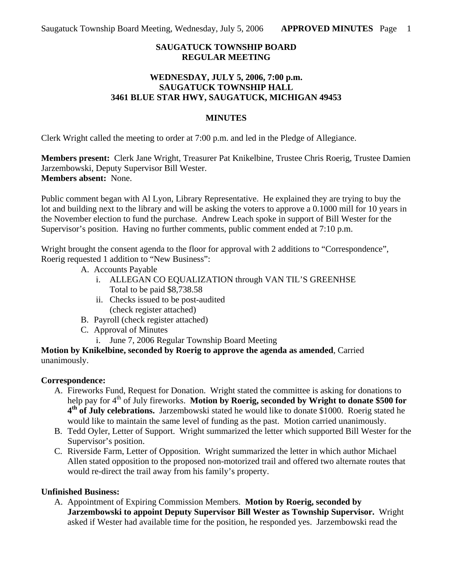## **SAUGATUCK TOWNSHIP BOARD REGULAR MEETING**

### **WEDNESDAY, JULY 5, 2006, 7:00 p.m. SAUGATUCK TOWNSHIP HALL 3461 BLUE STAR HWY, SAUGATUCK, MICHIGAN 49453**

### **MINUTES**

Clerk Wright called the meeting to order at 7:00 p.m. and led in the Pledge of Allegiance.

**Members present:** Clerk Jane Wright, Treasurer Pat Knikelbine, Trustee Chris Roerig, Trustee Damien Jarzembowski, Deputy Supervisor Bill Wester. **Members absent:** None.

Public comment began with Al Lyon, Library Representative. He explained they are trying to buy the lot and building next to the library and will be asking the voters to approve a 0.1000 mill for 10 years in the November election to fund the purchase. Andrew Leach spoke in support of Bill Wester for the Supervisor's position. Having no further comments, public comment ended at 7:10 p.m.

Wright brought the consent agenda to the floor for approval with 2 additions to "Correspondence", Roerig requested 1 addition to "New Business":

- A. Accounts Payable
	- i. ALLEGAN CO EQUALIZATION through VAN TIL'S GREENHSE Total to be paid \$8,738.58
	- ii. Checks issued to be post-audited (check register attached)
- B. Payroll (check register attached)
- C. Approval of Minutes
	- i. June 7, 2006 Regular Township Board Meeting

**Motion by Knikelbine, seconded by Roerig to approve the agenda as amended**, Carried unanimously.

### **Correspondence:**

- A. Fireworks Fund, Request for Donation. Wright stated the committee is asking for donations to help pay for 4<sup>th</sup> of July fireworks. **Motion by Roerig, seconded by Wright to donate \$500 for 4th of July celebrations.** Jarzembowski stated he would like to donate \$1000. Roerig stated he would like to maintain the same level of funding as the past. Motion carried unanimously.
- B. Tedd Oyler, Letter of Support. Wright summarized the letter which supported Bill Wester for the Supervisor's position.
- C. Riverside Farm, Letter of Opposition. Wright summarized the letter in which author Michael Allen stated opposition to the proposed non-motorized trail and offered two alternate routes that would re-direct the trail away from his family's property.

# **Unfinished Business:**

A. Appointment of Expiring Commission Members. **Motion by Roerig, seconded by Jarzembowski to appoint Deputy Supervisor Bill Wester as Township Supervisor.** Wright asked if Wester had available time for the position, he responded yes. Jarzembowski read the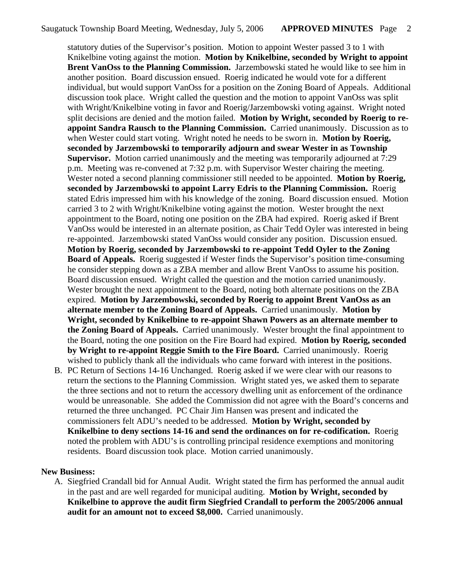statutory duties of the Supervisor's position. Motion to appoint Wester passed 3 to 1 with Knikelbine voting against the motion. **Motion by Knikelbine, seconded by Wright to appoint Brent VanOss to the Planning Commission.** Jarzembowski stated he would like to see him in another position. Board discussion ensued. Roerig indicated he would vote for a different individual, but would support VanOss for a position on the Zoning Board of Appeals. Additional discussion took place. Wright called the question and the motion to appoint VanOss was split with Wright/Knikelbine voting in favor and Roerig/Jarzembowski voting against. Wright noted split decisions are denied and the motion failed. **Motion by Wright, seconded by Roerig to reappoint Sandra Rausch to the Planning Commission.** Carried unanimously. Discussion as to when Wester could start voting. Wright noted he needs to be sworn in. **Motion by Roerig, seconded by Jarzembowski to temporarily adjourn and swear Wester in as Township Supervisor.** Motion carried unanimously and the meeting was temporarily adjourned at 7:29 p.m. Meeting was re-convened at 7:32 p.m. with Supervisor Wester chairing the meeting. Wester noted a second planning commissioner still needed to be appointed. **Motion by Roerig, seconded by Jarzembowski to appoint Larry Edris to the Planning Commission.** Roerig stated Edris impressed him with his knowledge of the zoning. Board discussion ensued. Motion carried 3 to 2 with Wright/Knikelbine voting against the motion. Wester brought the next appointment to the Board, noting one position on the ZBA had expired. Roerig asked if Brent VanOss would be interested in an alternate position, as Chair Tedd Oyler was interested in being re-appointed. Jarzembowski stated VanOss would consider any position. Discussion ensued. **Motion by Roerig, seconded by Jarzembowski to re-appoint Tedd Oyler to the Zoning Board of Appeals.** Roerig suggested if Wester finds the Supervisor's position time-consuming he consider stepping down as a ZBA member and allow Brent VanOss to assume his position. Board discussion ensued. Wright called the question and the motion carried unanimously. Wester brought the next appointment to the Board, noting both alternate positions on the ZBA expired. **Motion by Jarzembowski, seconded by Roerig to appoint Brent VanOss as an alternate member to the Zoning Board of Appeals.** Carried unanimously. **Motion by Wright, seconded by Knikelbine to re-appoint Shawn Powers as an alternate member to the Zoning Board of Appeals.** Carried unanimously. Wester brought the final appointment to the Board, noting the one position on the Fire Board had expired. **Motion by Roerig, seconded by Wright to re-appoint Reggie Smith to the Fire Board.** Carried unanimously. Roerig wished to publicly thank all the individuals who came forward with interest in the positions.

B. PC Return of Sections 14-16 Unchanged. Roerig asked if we were clear with our reasons to return the sections to the Planning Commission. Wright stated yes, we asked them to separate the three sections and not to return the accessory dwelling unit as enforcement of the ordinance would be unreasonable. She added the Commission did not agree with the Board's concerns and returned the three unchanged. PC Chair Jim Hansen was present and indicated the commissioners felt ADU's needed to be addressed. **Motion by Wright, seconded by Knikelbine to deny sections 14-16 and send the ordinances on for re-codification.** Roerig noted the problem with ADU's is controlling principal residence exemptions and monitoring residents. Board discussion took place. Motion carried unanimously.

#### **New Business:**

A. Siegfried Crandall bid for Annual Audit. Wright stated the firm has performed the annual audit in the past and are well regarded for municipal auditing. **Motion by Wright, seconded by Knikelbine to approve the audit firm Siegfried Crandall to perform the 2005/2006 annual audit for an amount not to exceed \$8,000.** Carried unanimously.